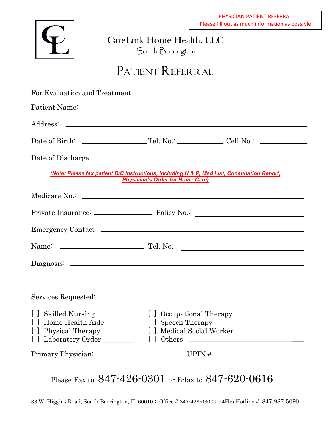

CareLink Home Health, LLC

South Barrington

## PATIENT REFERRAL

| For Evaluation and Treatment |                                         |                                                                                             |
|------------------------------|-----------------------------------------|---------------------------------------------------------------------------------------------|
|                              |                                         |                                                                                             |
|                              |                                         |                                                                                             |
|                              |                                         | Date of Birth: $\qquad \qquad \qquad$ Tel. No.: $\qquad \qquad$ Cell No.: $\qquad \qquad$   |
|                              |                                         |                                                                                             |
|                              | <b>Physician's Order for Home Care)</b> | (Note: Please fax patient D/C Instructions, including H & P, Med List, Consultation Report, |
|                              |                                         |                                                                                             |
|                              |                                         |                                                                                             |
|                              |                                         |                                                                                             |
|                              |                                         |                                                                                             |
|                              |                                         |                                                                                             |
|                              |                                         | ,我们也不能在这里的时候,我们也不能在这里的时候,我们也不能会在这里的时候,我们也不能会在这里的时候,我们也不能会在这里的时候,我们也不能会在这里的时候,我们也不           |
| Services Requested:          |                                         |                                                                                             |
| [ ] Skilled Nursing          | [ ] Occupational Therapy                |                                                                                             |
| [] Home Health Aide          | [ ] Speech Therapy                      |                                                                                             |
| [ ] Physical Therapy         | [ ] Medical Social Worker               |                                                                                             |
| Laboratory Order             |                                         | $[$ dthers $\qquad \qquad$                                                                  |
|                              |                                         |                                                                                             |
|                              |                                         |                                                                                             |

Please Fax to 847-426-0301 or E-fax to 847-620-0616

33 W. Higgins Road, South Barrington, IL 60010 : Office # 847-426-0300 : 24Hrs Hotline # 847-987-5090